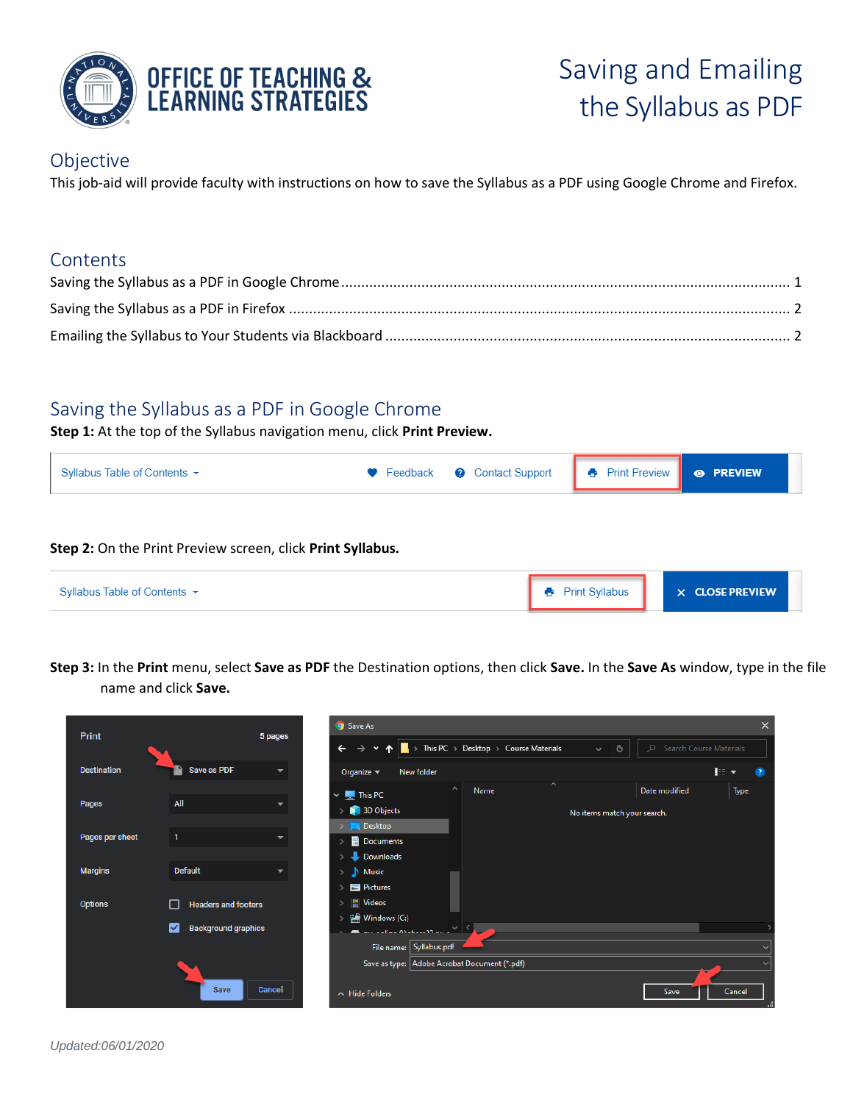

# Saving and Emailing the Syllabus as PDF

## Objective

This job-aid will provide faculty with instructions on how to save the Syllabus as a PDF using Google Chrome and Firefox.

## **Contents**

# <span id="page-0-0"></span>Saving the Syllabus as a PDF in Google Chrome

**Step 1:** At the top of the Syllabus navigation menu, click **Print Preview.**

| Syllabus Table of Contents $\sim$ | • Feedback • Contact Support • Belleview • Print Preview • PREVIEW |  |  |
|-----------------------------------|--------------------------------------------------------------------|--|--|
|                                   |                                                                    |  |  |

#### **Step 2:** On the Print Preview screen, click **Print Syllabus.**

| Syllabus Table of Contents ★ | <b>Print Syllabus</b> | $\times$ CLOSE PREVIEW |
|------------------------------|-----------------------|------------------------|
|                              |                       |                        |

**Step 3:** In the **Print** menu, select **Save as PDF** the Destination options, then click **Save.** In the **Save As** window, type in the file name and click **Save.**

| Print              |                                 | 5 pages                  | <b>Save As</b>                                                                                                                                                  | $\times$ |
|--------------------|---------------------------------|--------------------------|-----------------------------------------------------------------------------------------------------------------------------------------------------------------|----------|
|                    |                                 |                          | This PC $\rightarrow$ Desktop $\rightarrow$ Course Materials<br>C Search Course Materials<br>Ō<br>$\leftarrow$<br>$\rightarrow$<br>$\checkmark$<br>$\checkmark$ |          |
| <b>Destination</b> | Save as PDF                     | $\overline{\phantom{a}}$ | 記 -<br>New folder<br>Organize $\blacktriangledown$                                                                                                              |          |
| Pages              | All                             |                          | $\widehat{\phantom{a}}$<br>$\wedge$<br>Date modified<br>Name<br>Type<br>$\vee$ $\blacksquare$ This PC<br>3D Objects<br>No items match your search.              |          |
| Pages per sheet    |                                 |                          | <b>Desktop</b><br><b>Documents</b><br>Downloads                                                                                                                 |          |
| <b>Margins</b>     | <b>Default</b>                  | $\overline{\phantom{0}}$ | $M$ Music<br>$\mathcal{P}$<br>$\blacksquare$ Pictures                                                                                                           |          |
| <b>Options</b>     | <b>Headers and footers</b>      |                          | <b>Wideos</b><br>$\rightarrow$                                                                                                                                  |          |
|                    | M<br><b>Background graphics</b> |                          | <sup>22</sup> Windows (C:)<br>$\mathcal{P}$<br>$\blacksquare$ Explore AV at a constraint $\blacksquare$<br>File name: Syllabus.pdf                              |          |
|                    | Save                            | Cancel                   | Save as type: Adobe Acrobat Document (*.pdf)<br>Save<br>Cancel<br>A Hide Folders                                                                                |          |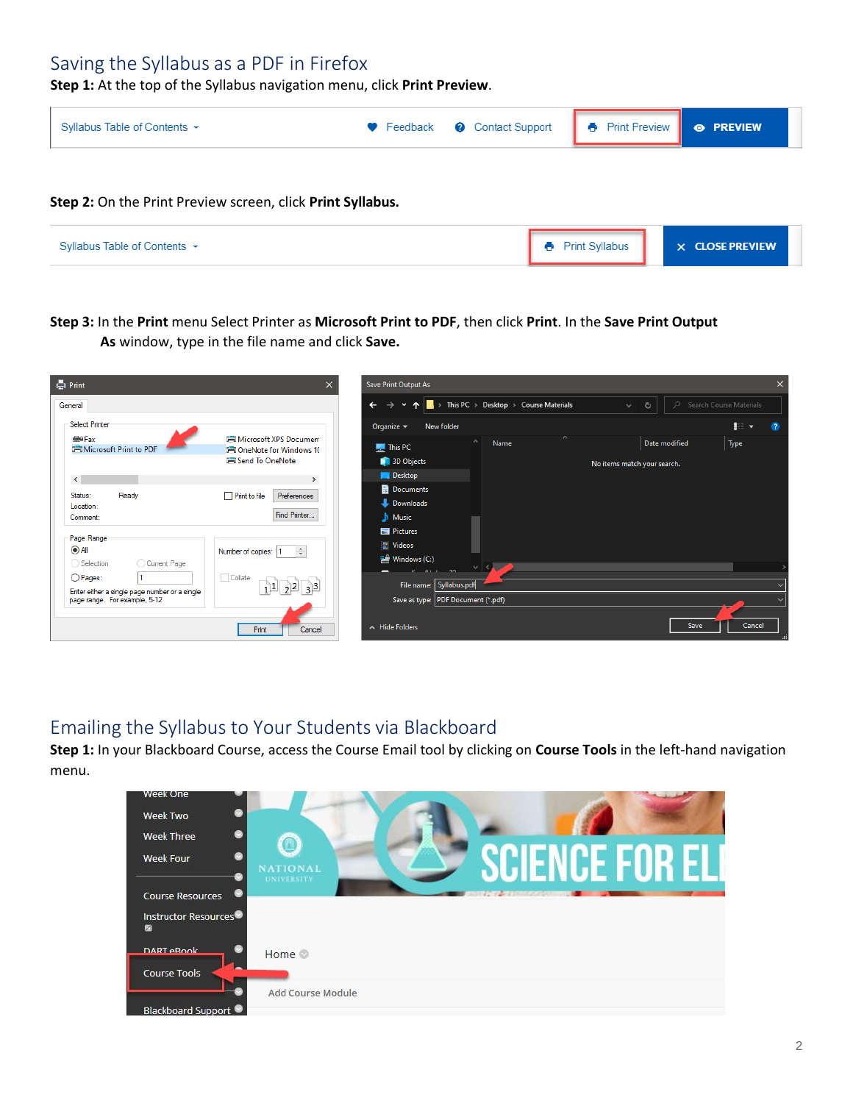# <span id="page-1-0"></span>Saving the Syllabus as a PDF in Firefox

**Step 1:** At the top of the Syllabus navigation menu, click **Print Preview**.



**As** window, type in the file name and click **Save. Step 3:** In the **Print** menu Select Printer as **Microsoft Print to PDF**, then click **Print**. In the **Save Print Output** 

| <b>Collect</b> Print                                                                                                                               | $\times$                                                                                                                                                                                       | Save Print Output As                                                                                                                                                                                              | $\times$                               |
|----------------------------------------------------------------------------------------------------------------------------------------------------|------------------------------------------------------------------------------------------------------------------------------------------------------------------------------------------------|-------------------------------------------------------------------------------------------------------------------------------------------------------------------------------------------------------------------|----------------------------------------|
| General                                                                                                                                            |                                                                                                                                                                                                | <b>Now This PC</b> > Desktop > Course Materials<br>$\circ$<br>$\leftarrow$<br>Ō<br>$\rightarrow$<br>$\checkmark$<br>$\checkmark$<br>$\rightarrow$                                                                 | Search Course Materials                |
| <b>Select Printer</b>                                                                                                                              |                                                                                                                                                                                                | New folder<br>Organize $\blacktriangledown$                                                                                                                                                                       | $\mathbb{R}$ $\mathbb{R}$<br>$\bullet$ |
| <b>E</b> <sup>1</sup> Fax<br><b>FI Microsoft Print to PDF</b><br>$\,<\,$<br>Ready<br>Status:<br>Location:<br>Comment:<br>Page Range<br>$\odot$ All | <b>I-I Microsoft XPS Document</b><br><b>Fil OneNote for Windows 10</b><br><b>FilSend To OneNote</b><br>$\rightarrow$<br>Print to file<br>Preferences<br>Find Printer<br>÷<br>Number of copies: | $\sim$<br>$\wedge$<br>Name<br>Date modified<br>$\frac{1}{2}$ This PC<br><b>B</b> 3D Objects<br>No items match your search.<br><b>Desktop</b><br><b>Documents</b><br>Downloads<br>$M$ usic<br>Pictures<br>图 Videos | Type                                   |
| Current Page<br>◯ Selection<br>O Pages:<br>Enter either a single page number or a single<br>page range. For example, 5-12                          | Collate<br>$3^{3}$<br>Print<br>Cancel                                                                                                                                                          | $\frac{1}{2}$ Windows (C:)<br>File name: Syllabus.pdf<br>Save as type: PDF Document (*.pdf)<br><b>Save</b><br>A Hide Folders                                                                                      | Cancel                                 |

# <span id="page-1-1"></span>Emailing the Syllabus to Your Students via Blackboard

**Step 1:** In your Blackboard Course, access the Course Email tool by clicking on **Course Tools** in the left-hand navigation menu.

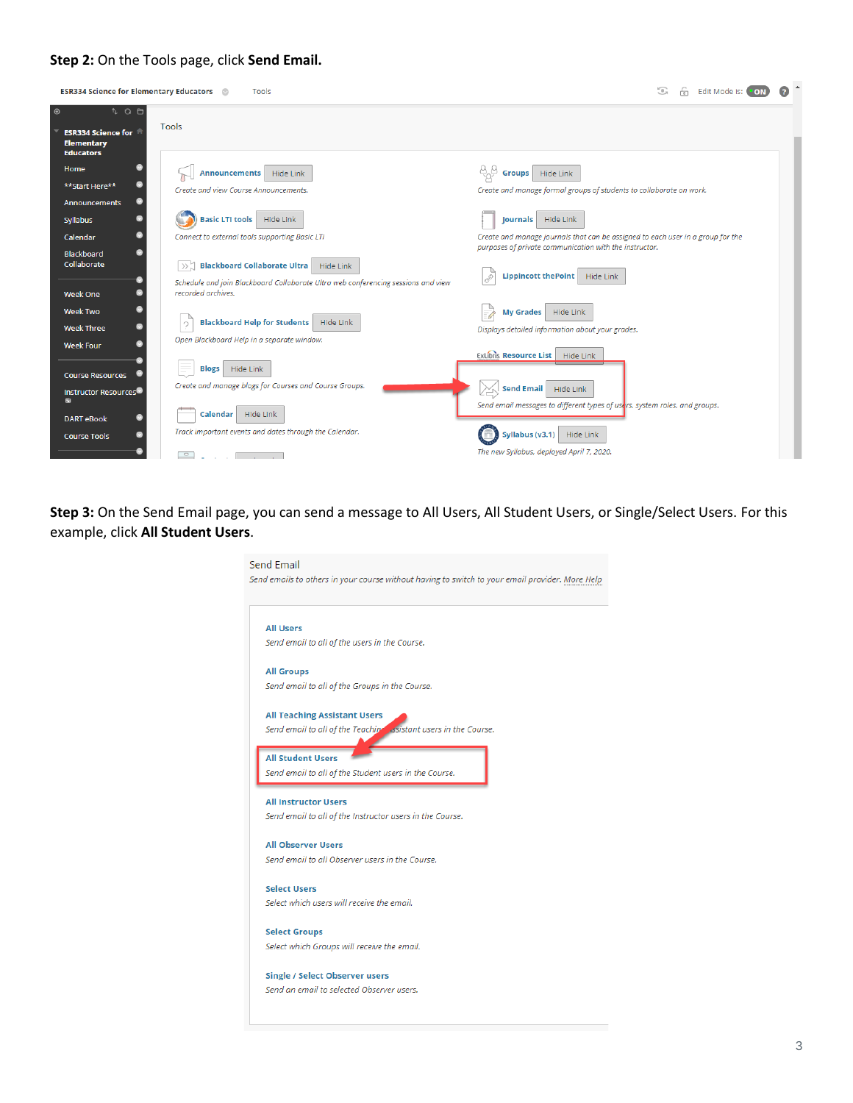#### **Step 2:** On the Tools page, click **Send Email.**

| <b>ESR334 Science for Elementary Educators</b>                                                                 | Tools                                                                                                                                        | G<br>Edit Mode is:<br>ńп                                                                                                                                                  |  |
|----------------------------------------------------------------------------------------------------------------|----------------------------------------------------------------------------------------------------------------------------------------------|---------------------------------------------------------------------------------------------------------------------------------------------------------------------------|--|
| $\circledcirc$<br>$\sqrt[n]{2}$<br>Tools<br><b>ESR334 Science for</b><br><b>Elementary</b><br><b>Educators</b> |                                                                                                                                              |                                                                                                                                                                           |  |
| Home<br><b>Announcements</b><br>**Start Here**                                                                 | Hide Link<br>Create and view Course Announcements.                                                                                           | Hide Link<br><b>Groups</b><br>Create and manage formal groups of students to collaborate on work.                                                                         |  |
| Announcements<br>◉<br>Syllabus<br>ø<br>Calendar                                                                | <b>Basic LTI tools</b> Hide Link<br>Connect to external tools supporting Basic LTI                                                           | Hide Link<br><b>Journals</b><br>Create and manage journals that can be assigned to each user in a group for the<br>purposes of private communication with the instructor. |  |
| Blackboard<br>Collaborate<br>$\gg$<br>recorded archives.<br><b>Week One</b>                                    | <b>Blackboard Collaborate Ultra</b><br><b>Hide Link</b><br>Schedule and join Blackboard Collaborate Ultra web conferencing sessions and view | Lippincott the Point   Hide Link                                                                                                                                          |  |
| <b>Week Two</b><br>$\mathcal{O}$<br>◉<br><b>Week Three</b><br><b>Week Four</b>                                 | <b>Blackboard Help for Students</b><br>Hide Link<br>Open Blackboard Help in a separate window.                                               | Hide Link<br>My Grades<br>Displays detailed information about your grades.                                                                                                |  |
| ÷,<br><b>Blogs</b><br><b>Course Resources</b><br>Instructor Resources <sup>ed</sup>                            | Hide Link<br>Create and manage blogs for Courses and Course Groups.                                                                          | ExLibris Resource List   Hide Link<br>Send Email Hide Link<br>y                                                                                                           |  |
| ø<br>ø<br><b>DART eBook</b><br><b>Course Tools</b><br><b>P</b>                                                 | Calendar Hide Link<br>Track important events and dates through the Calendar.                                                                 | Send email messages to different types of users, system roles, and groups.<br>Syllabus (v3.1)<br>Hide Link<br>The new Syllabus, deployed April 7, 2020.                   |  |

**Step 3:** On the Send Email page, you can send a message to All Users, All Student Users, or Single/Select Users. For this example, click **All Student Users**.

| Send emails to others in your course without having to switch to your email provider. More Help |
|-------------------------------------------------------------------------------------------------|
| <b>All Users</b>                                                                                |
| Send email to all of the users in the Course.                                                   |
| <b>All Groups</b>                                                                               |
| Send email to all of the Groups in the Course.                                                  |
| <b>All Teaching Assistant Users</b>                                                             |
| Send email to all of the Teaching essistant users in the Course.                                |
| <b>All Student Users</b>                                                                        |
| Send email to all of the Student users in the Course.                                           |
|                                                                                                 |
| <b>All Instructor Users</b><br>Send email to all of the Instructor users in the Course.         |
|                                                                                                 |
| <b>All Observer Users</b>                                                                       |
| Send email to all Observer users in the Course.                                                 |
| <b>Select Users</b>                                                                             |
| Select which users will receive the email.                                                      |
|                                                                                                 |
| <b>Select Groups</b>                                                                            |
| Select which Groups will receive the email.                                                     |
| <b>Single / Select Observer users</b>                                                           |
| Send an email to selected Observer users.                                                       |
|                                                                                                 |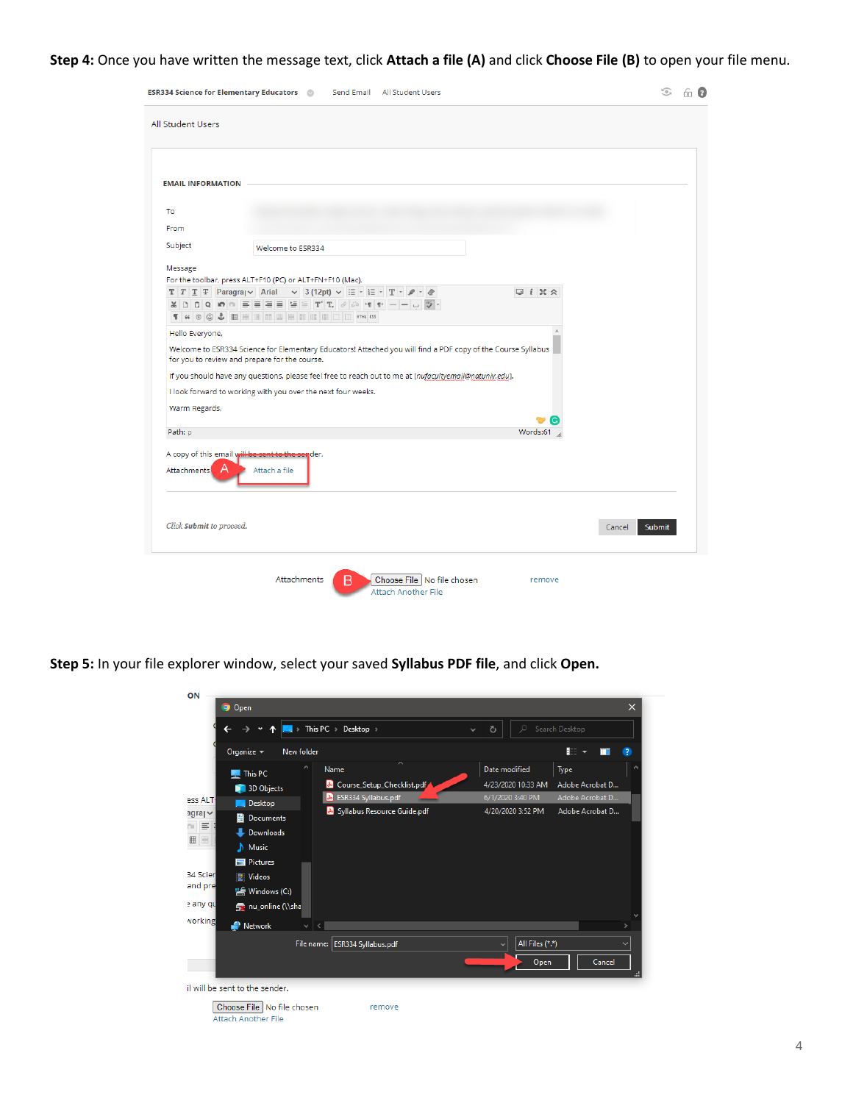## **Step 4:** Once you have written the message text, click **Attach a file (A)** and click **Choose File (B)** to open your file menu.

| <b>ESR334 Science for Elementary Educators @ Send Email All Student Users</b>                                                                                                                                 | <u>කි ව</u> |
|---------------------------------------------------------------------------------------------------------------------------------------------------------------------------------------------------------------|-------------|
| <b>All Student Users</b>                                                                                                                                                                                      |             |
|                                                                                                                                                                                                               |             |
|                                                                                                                                                                                                               |             |
| <b>EMAIL INFORMATION</b>                                                                                                                                                                                      |             |
| To                                                                                                                                                                                                            |             |
| From                                                                                                                                                                                                          |             |
| Subject<br>Welcome to ESR334                                                                                                                                                                                  |             |
| Message                                                                                                                                                                                                       |             |
| For the toolbar, press ALT+F10 (PC) or ALT+FN+F10 (Mac).<br>$T$ $T$ $T$ $T$ Paragray Arial $\vee$ 3 (12pt) $\vee$ $\equiv$ $\cdot$ $\equiv$ $\cdot$ $T$ $\cdot$ $\circ$ $\cdot$ $\circ$<br>$Q_i$ i $X \times$ |             |
| T & O O L E B B B B B B B B B B B                                                                                                                                                                             |             |
| Hello Everyone,                                                                                                                                                                                               |             |
| Welcome to ESR334 Science for Elementary Educators! Attached you will find a PDF copy of the Course Syllabus<br>for you to review and prepare for the course.                                                 |             |
| If you should have any questions, please feel free to reach out to me at [nufacultyemail@natuniv.edu].                                                                                                        |             |
| I look forward to working with you over the next four weeks.                                                                                                                                                  |             |
| Warm Regards,                                                                                                                                                                                                 |             |
| Path: p<br>Words:61                                                                                                                                                                                           |             |
| A copy of this email will be sent to the sender.<br><b>Attachments</b><br>$\overline{\mathsf{A}}$<br>Attach a file                                                                                            |             |
| Click Submit to proceed.<br>Cancel<br>Submit                                                                                                                                                                  |             |
| Attachments<br>Choose File   No file chosen<br>R<br>remove<br><b>Attach Another File</b>                                                                                                                      |             |

**Step 5:** In your file explorer window, select your saved **Syllabus PDF file**, and click **Open.**

|                                |                                             | > This PC > Desktop >                      | Q<br>Ō<br>$\checkmark$          | Search Desktop                               |
|--------------------------------|---------------------------------------------|--------------------------------------------|---------------------------------|----------------------------------------------|
|                                | Organize $\blacktriangledown$<br>New folder |                                            |                                 | $\mathbb{R}$ $\rightarrow$<br>$\bullet$<br>ш |
|                                | <b>This PC</b>                              | ∧<br>Name                                  | Date modified                   | Type                                         |
|                                | 3D Objects                                  | Course_Setup_Checklist.pdf<br>$\mathbf{r}$ | 4/23/2020 10:33 AM              | Adobe Acrobat D                              |
| ess ALT                        | <b>Desktop</b>                              | ESR334 Syllabus.pdf<br>J۴                  | 6/1/2020 3:40 PM                | Adobe Acrobat D                              |
| $argray \sim$<br>鱼             | Documents                                   | S Syllabus Resource Guide.pdf              | 4/20/2020 3:52 PM               | Adobe Acrobat D                              |
| $\equiv$                       | <b>Downloads</b>                            |                                            |                                 |                                              |
| 圖<br>ь                         | <b>Music</b>                                |                                            |                                 |                                              |
|                                | Pictures                                    |                                            |                                 |                                              |
| 34 Scier<br>B.                 | <b>Videos</b>                               |                                            |                                 |                                              |
|                                | <sup>12</sup> , Windows (C:)                |                                            |                                 |                                              |
|                                |                                             |                                            |                                 |                                              |
|                                |                                             |                                            |                                 |                                              |
|                                | se nu_online (\\sha                         |                                            |                                 |                                              |
|                                | $\blacksquare$ Network<br>$\checkmark$      | $\epsilon$                                 |                                 | ×.                                           |
|                                |                                             | File name: ESR334 Syllabus.pdf             | All Files (*.*)<br>$\checkmark$ |                                              |
|                                |                                             |                                            | Open                            | Cancel                                       |
| and pre<br>e any qu<br>vorking |                                             |                                            |                                 |                                              |